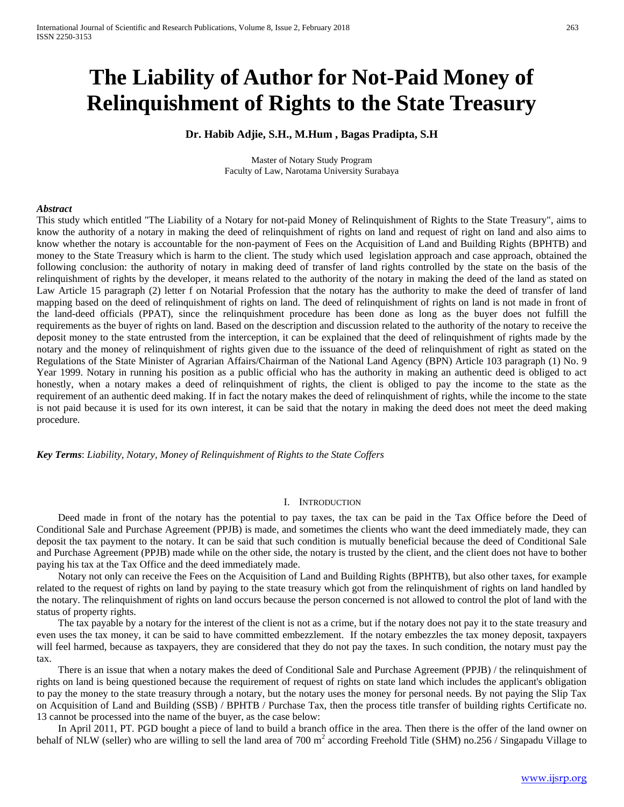# **The Liability of Author for Not-Paid Money of Relinquishment of Rights to the State Treasury**

## **Dr. Habib Adjie, S.H., M.Hum , Bagas Pradipta, S.H**

Master of Notary Study Program Faculty of Law, Narotama University Surabaya

## *Abstract*

This study which entitled "The Liability of a Notary for not-paid Money of Relinquishment of Rights to the State Treasury", aims to know the authority of a notary in making the deed of relinquishment of rights on land and request of right on land and also aims to know whether the notary is accountable for the non-payment of Fees on the Acquisition of Land and Building Rights (BPHTB) and money to the State Treasury which is harm to the client. The study which used legislation approach and case approach, obtained the following conclusion: the authority of notary in making deed of transfer of land rights controlled by the state on the basis of the relinquishment of rights by the developer, it means related to the authority of the notary in making the deed of the land as stated on Law Article 15 paragraph (2) letter f on Notarial Profession that the notary has the authority to make the deed of transfer of land mapping based on the deed of relinquishment of rights on land. The deed of relinquishment of rights on land is not made in front of the land-deed officials (PPAT), since the relinquishment procedure has been done as long as the buyer does not fulfill the requirements as the buyer of rights on land. Based on the description and discussion related to the authority of the notary to receive the deposit money to the state entrusted from the interception, it can be explained that the deed of relinquishment of rights made by the notary and the money of relinquishment of rights given due to the issuance of the deed of relinquishment of right as stated on the Regulations of the State Minister of Agrarian Affairs/Chairman of the National Land Agency (BPN) Article 103 paragraph (1) No. 9 Year 1999. Notary in running his position as a public official who has the authority in making an authentic deed is obliged to act honestly, when a notary makes a deed of relinquishment of rights, the client is obliged to pay the income to the state as the requirement of an authentic deed making. If in fact the notary makes the deed of relinquishment of rights, while the income to the state is not paid because it is used for its own interest, it can be said that the notary in making the deed does not meet the deed making procedure.

*Key Terms*: *Liability, Notary, Money of Relinquishment of Rights to the State Coffers*

## I. INTRODUCTION

Deed made in front of the notary has the potential to pay taxes, the tax can be paid in the Tax Office before the Deed of Conditional Sale and Purchase Agreement (PPJB) is made, and sometimes the clients who want the deed immediately made, they can deposit the tax payment to the notary. It can be said that such condition is mutually beneficial because the deed of Conditional Sale and Purchase Agreement (PPJB) made while on the other side, the notary is trusted by the client, and the client does not have to bother paying his tax at the Tax Office and the deed immediately made.

Notary not only can receive the Fees on the Acquisition of Land and Building Rights (BPHTB), but also other taxes, for example related to the request of rights on land by paying to the state treasury which got from the relinquishment of rights on land handled by the notary. The relinquishment of rights on land occurs because the person concerned is not allowed to control the plot of land with the status of property rights.

The tax payable by a notary for the interest of the client is not as a crime, but if the notary does not pay it to the state treasury and even uses the tax money, it can be said to have committed embezzlement. If the notary embezzles the tax money deposit, taxpayers will feel harmed, because as taxpayers, they are considered that they do not pay the taxes. In such condition, the notary must pay the tax.

There is an issue that when a notary makes the deed of Conditional Sale and Purchase Agreement (PPJB) / the relinquishment of rights on land is being questioned because the requirement of request of rights on state land which includes the applicant's obligation to pay the money to the state treasury through a notary, but the notary uses the money for personal needs. By not paying the Slip Tax on Acquisition of Land and Building (SSB) / BPHTB / Purchase Tax, then the process title transfer of building rights Certificate no. 13 cannot be processed into the name of the buyer, as the case below:

In April 2011, PT. PGD bought a piece of land to build a branch office in the area. Then there is the offer of the land owner on behalf of NLW (seller) who are willing to sell the land area of 700  $m<sup>2</sup>$  according Freehold Title (SHM) no.256 / Singapadu Village to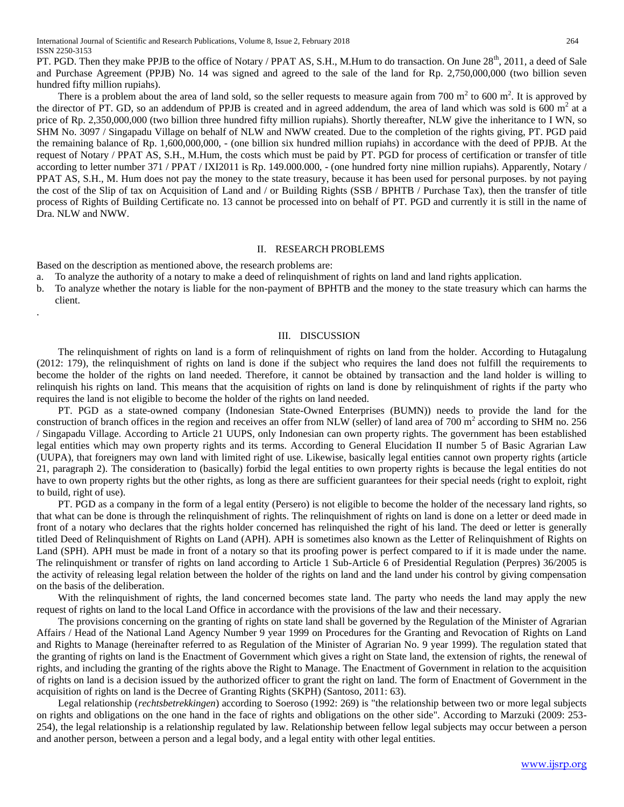PT. PGD. Then they make PPJB to the office of Notary / PPAT AS, S.H., M.Hum to do transaction. On June 28<sup>th</sup>, 2011, a deed of Sale and Purchase Agreement (PPJB) No. 14 was signed and agreed to the sale of the land for Rp. 2,750,000,000 (two billion seven hundred fifty million rupiahs).

There is a problem about the area of land sold, so the seller requests to measure again from 700  $m^2$  to 600  $m^2$ . It is approved by the director of PT. GD, so an addendum of PPJB is created and in agreed addendum, the area of land which was sold is  $\frac{600 \text{ m}^2}{4}$  at a price of Rp. 2,350,000,000 (two billion three hundred fifty million rupiahs). Shortly thereafter, NLW give the inheritance to I WN, so SHM No. 3097 / Singapadu Village on behalf of NLW and NWW created. Due to the completion of the rights giving, PT. PGD paid the remaining balance of Rp. 1,600,000,000, - (one billion six hundred million rupiahs) in accordance with the deed of PPJB. At the request of Notary / PPAT AS, S.H., M.Hum, the costs which must be paid by PT. PGD for process of certification or transfer of title according to letter number 371 / PPAT / IXI2011 is Rp. 149.000.000, - (one hundred forty nine million rupiahs). Apparently, Notary / PPAT AS, S.H., M. Hum does not pay the money to the state treasury, because it has been used for personal purposes. by not paying the cost of the Slip of tax on Acquisition of Land and / or Building Rights (SSB / BPHTB / Purchase Tax), then the transfer of title process of Rights of Building Certificate no. 13 cannot be processed into on behalf of PT. PGD and currently it is still in the name of Dra. NLW and NWW.

### II. RESEARCH PROBLEMS

Based on the description as mentioned above, the research problems are:

.

- a. To analyze the authority of a notary to make a deed of relinquishment of rights on land and land rights application.
- b. To analyze whether the notary is liable for the non-payment of BPHTB and the money to the state treasury which can harms the client.

## III. DISCUSSION

The relinquishment of rights on land is a form of relinquishment of rights on land from the holder. According to Hutagalung (2012: 179), the relinquishment of rights on land is done if the subject who requires the land does not fulfill the requirements to become the holder of the rights on land needed. Therefore, it cannot be obtained by transaction and the land holder is willing to relinquish his rights on land. This means that the acquisition of rights on land is done by relinquishment of rights if the party who requires the land is not eligible to become the holder of the rights on land needed.

PT. PGD as a state-owned company (Indonesian State-Owned Enterprises (BUMN)) needs to provide the land for the construction of branch offices in the region and receives an offer from NLW (seller) of land area of 700  $m<sup>2</sup>$  according to SHM no. 256 / Singapadu Village. According to Article 21 UUPS, only Indonesian can own property rights. The government has been established legal entities which may own property rights and its terms. According to General Elucidation II number 5 of Basic Agrarian Law (UUPA), that foreigners may own land with limited right of use. Likewise, basically legal entities cannot own property rights (article 21, paragraph 2). The consideration to (basically) forbid the legal entities to own property rights is because the legal entities do not have to own property rights but the other rights, as long as there are sufficient guarantees for their special needs (right to exploit, right to build, right of use).

PT. PGD as a company in the form of a legal entity (Persero) is not eligible to become the holder of the necessary land rights, so that what can be done is through the relinquishment of rights. The relinquishment of rights on land is done on a letter or deed made in front of a notary who declares that the rights holder concerned has relinquished the right of his land. The deed or letter is generally titled Deed of Relinquishment of Rights on Land (APH). APH is sometimes also known as the Letter of Relinquishment of Rights on Land (SPH). APH must be made in front of a notary so that its proofing power is perfect compared to if it is made under the name. The relinquishment or transfer of rights on land according to Article 1 Sub-Article 6 of Presidential Regulation (Perpres) 36/2005 is the activity of releasing legal relation between the holder of the rights on land and the land under his control by giving compensation on the basis of the deliberation.

With the relinquishment of rights, the land concerned becomes state land. The party who needs the land may apply the new request of rights on land to the local Land Office in accordance with the provisions of the law and their necessary.

The provisions concerning on the granting of rights on state land shall be governed by the Regulation of the Minister of Agrarian Affairs / Head of the National Land Agency Number 9 year 1999 on Procedures for the Granting and Revocation of Rights on Land and Rights to Manage (hereinafter referred to as Regulation of the Minister of Agrarian No. 9 year 1999). The regulation stated that the granting of rights on land is the Enactment of Government which gives a right on State land, the extension of rights, the renewal of rights, and including the granting of the rights above the Right to Manage. The Enactment of Government in relation to the acquisition of rights on land is a decision issued by the authorized officer to grant the right on land. The form of Enactment of Government in the acquisition of rights on land is the Decree of Granting Rights (SKPH) (Santoso, 2011: 63).

Legal relationship (*rechtsbetrekkingen*) according to Soeroso (1992: 269) is "the relationship between two or more legal subjects on rights and obligations on the one hand in the face of rights and obligations on the other side". According to Marzuki (2009: 253- 254), the legal relationship is a relationship regulated by law. Relationship between fellow legal subjects may occur between a person and another person, between a person and a legal body, and a legal entity with other legal entities.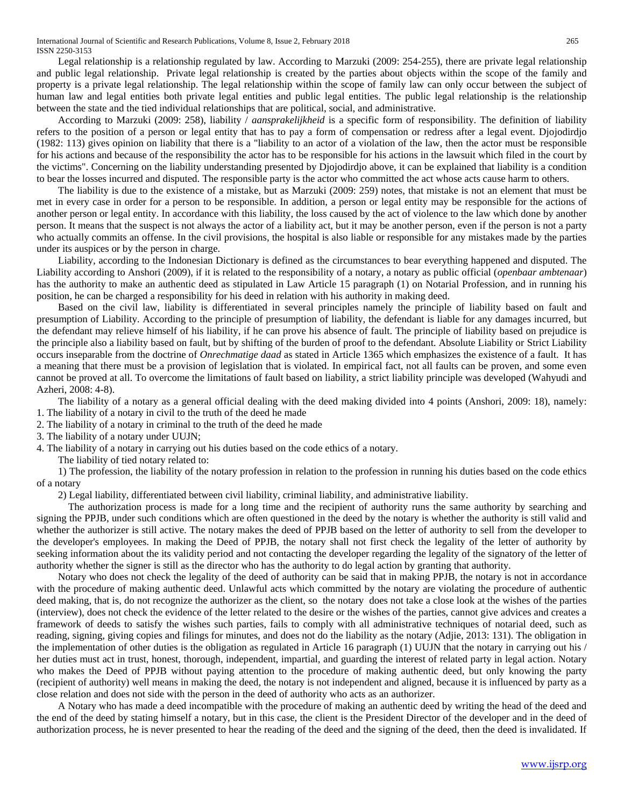Legal relationship is a relationship regulated by law. According to Marzuki (2009: 254-255), there are private legal relationship and public legal relationship. Private legal relationship is created by the parties about objects within the scope of the family and property is a private legal relationship. The legal relationship within the scope of family law can only occur between the subject of human law and legal entities both private legal entities and public legal entities. The public legal relationship is the relationship between the state and the tied individual relationships that are political, social, and administrative.

According to Marzuki (2009: 258), liability / *aansprakelijkheid* is a specific form of responsibility. The definition of liability refers to the position of a person or legal entity that has to pay a form of compensation or redress after a legal event. Djojodirdjo (1982: 113) gives opinion on liability that there is a "liability to an actor of a violation of the law, then the actor must be responsible for his actions and because of the responsibility the actor has to be responsible for his actions in the lawsuit which filed in the court by the victims". Concerning on the liability understanding presented by Djojodirdjo above, it can be explained that liability is a condition to bear the losses incurred and disputed. The responsible party is the actor who committed the act whose acts cause harm to others.

The liability is due to the existence of a mistake, but as Marzuki (2009: 259) notes, that mistake is not an element that must be met in every case in order for a person to be responsible. In addition, a person or legal entity may be responsible for the actions of another person or legal entity. In accordance with this liability, the loss caused by the act of violence to the law which done by another person. It means that the suspect is not always the actor of a liability act, but it may be another person, even if the person is not a party who actually commits an offense. In the civil provisions, the hospital is also liable or responsible for any mistakes made by the parties under its auspices or by the person in charge.

Liability, according to the Indonesian Dictionary is defined as the circumstances to bear everything happened and disputed. The Liability according to Anshori (2009), if it is related to the responsibility of a notary, a notary as public official (*openbaar ambtenaar*) has the authority to make an authentic deed as stipulated in Law Article 15 paragraph (1) on Notarial Profession, and in running his position, he can be charged a responsibility for his deed in relation with his authority in making deed.

Based on the civil law, liability is differentiated in several principles namely the principle of liability based on fault and presumption of Liability. According to the principle of presumption of liability, the defendant is liable for any damages incurred, but the defendant may relieve himself of his liability, if he can prove his absence of fault. The principle of liability based on prejudice is the principle also a liability based on fault, but by shifting of the burden of proof to the defendant. Absolute Liability or Strict Liability occurs inseparable from the doctrine of *Onrechmatige daad* as stated in Article 1365 which emphasizes the existence of a fault. It has a meaning that there must be a provision of legislation that is violated. In empirical fact, not all faults can be proven, and some even cannot be proved at all. To overcome the limitations of fault based on liability, a strict liability principle was developed (Wahyudi and Azheri, 2008: 4-8).

The liability of a notary as a general official dealing with the deed making divided into 4 points (Anshori, 2009: 18), namely: 1. The liability of a notary in civil to the truth of the deed he made

- 2. The liability of a notary in criminal to the truth of the deed he made
- 3. The liability of a notary under UUJN;
- 4. The liability of a notary in carrying out his duties based on the code ethics of a notary.
	- The liability of tied notary related to:

1) The profession, the liability of the notary profession in relation to the profession in running his duties based on the code ethics of a notary

2) Legal liability, differentiated between civil liability, criminal liability, and administrative liability.

 The authorization process is made for a long time and the recipient of authority runs the same authority by searching and signing the PPJB, under such conditions which are often questioned in the deed by the notary is whether the authority is still valid and whether the authorizer is still active. The notary makes the deed of PPJB based on the letter of authority to sell from the developer to the developer's employees. In making the Deed of PPJB, the notary shall not first check the legality of the letter of authority by seeking information about the its validity period and not contacting the developer regarding the legality of the signatory of the letter of authority whether the signer is still as the director who has the authority to do legal action by granting that authority.

Notary who does not check the legality of the deed of authority can be said that in making PPJB, the notary is not in accordance with the procedure of making authentic deed. Unlawful acts which committed by the notary are violating the procedure of authentic deed making, that is, do not recognize the authorizer as the client, so the notary does not take a close look at the wishes of the parties (interview), does not check the evidence of the letter related to the desire or the wishes of the parties, cannot give advices and creates a framework of deeds to satisfy the wishes such parties, fails to comply with all administrative techniques of notarial deed, such as reading, signing, giving copies and filings for minutes, and does not do the liability as the notary (Adjie, 2013: 131). The obligation in the implementation of other duties is the obligation as regulated in Article 16 paragraph (1) UUJN that the notary in carrying out his / her duties must act in trust, honest, thorough, independent, impartial, and guarding the interest of related party in legal action. Notary who makes the Deed of PPJB without paying attention to the procedure of making authentic deed, but only knowing the party (recipient of authority) well means in making the deed, the notary is not independent and aligned, because it is influenced by party as a close relation and does not side with the person in the deed of authority who acts as an authorizer.

A Notary who has made a deed incompatible with the procedure of making an authentic deed by writing the head of the deed and the end of the deed by stating himself a notary, but in this case, the client is the President Director of the developer and in the deed of authorization process, he is never presented to hear the reading of the deed and the signing of the deed, then the deed is invalidated. If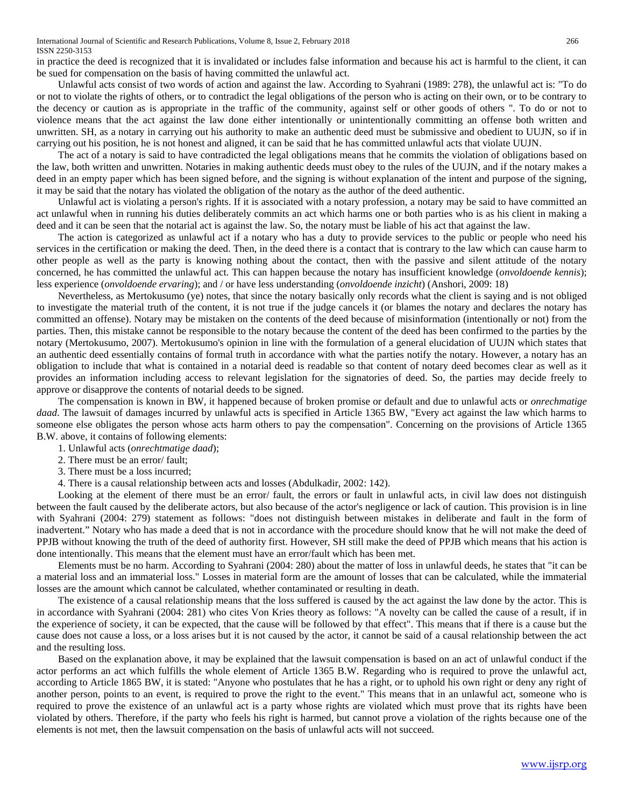in practice the deed is recognized that it is invalidated or includes false information and because his act is harmful to the client, it can be sued for compensation on the basis of having committed the unlawful act.

Unlawful acts consist of two words of action and against the law. According to Syahrani (1989: 278), the unlawful act is: "To do or not to violate the rights of others, or to contradict the legal obligations of the person who is acting on their own, or to be contrary to the decency or caution as is appropriate in the traffic of the community, against self or other goods of others ". To do or not to violence means that the act against the law done either intentionally or unintentionally committing an offense both written and unwritten. SH, as a notary in carrying out his authority to make an authentic deed must be submissive and obedient to UUJN, so if in carrying out his position, he is not honest and aligned, it can be said that he has committed unlawful acts that violate UUJN.

The act of a notary is said to have contradicted the legal obligations means that he commits the violation of obligations based on the law, both written and unwritten. Notaries in making authentic deeds must obey to the rules of the UUJN, and if the notary makes a deed in an empty paper which has been signed before, and the signing is without explanation of the intent and purpose of the signing, it may be said that the notary has violated the obligation of the notary as the author of the deed authentic.

Unlawful act is violating a person's rights. If it is associated with a notary profession, a notary may be said to have committed an act unlawful when in running his duties deliberately commits an act which harms one or both parties who is as his client in making a deed and it can be seen that the notarial act is against the law. So, the notary must be liable of his act that against the law.

The action is categorized as unlawful act if a notary who has a duty to provide services to the public or people who need his services in the certification or making the deed. Then, in the deed there is a contact that is contrary to the law which can cause harm to other people as well as the party is knowing nothing about the contact, then with the passive and silent attitude of the notary concerned, he has committed the unlawful act. This can happen because the notary has insufficient knowledge (*onvoldoende kennis*); less experience (*onvoldoende ervaring*); and / or have less understanding (*onvoldoende inzicht*) (Anshori, 2009: 18)

Nevertheless, as Mertokusumo (ye) notes, that since the notary basically only records what the client is saying and is not obliged to investigate the material truth of the content, it is not true if the judge cancels it (or blames the notary and declares the notary has committed an offense). Notary may be mistaken on the contents of the deed because of misinformation (intentionally or not) from the parties. Then, this mistake cannot be responsible to the notary because the content of the deed has been confirmed to the parties by the notary (Mertokusumo, 2007). Mertokusumo's opinion in line with the formulation of a general elucidation of UUJN which states that an authentic deed essentially contains of formal truth in accordance with what the parties notify the notary. However, a notary has an obligation to include that what is contained in a notarial deed is readable so that content of notary deed becomes clear as well as it provides an information including access to relevant legislation for the signatories of deed. So, the parties may decide freely to approve or disapprove the contents of notarial deeds to be signed.

The compensation is known in BW, it happened because of broken promise or default and due to unlawful acts or *onrechmatige daad*. The lawsuit of damages incurred by unlawful acts is specified in Article 1365 BW, "Every act against the law which harms to someone else obligates the person whose acts harm others to pay the compensation". Concerning on the provisions of Article 1365 B.W. above, it contains of following elements:

1. Unlawful acts (*onrechtmatige daad*);

- 2. There must be an error/ fault;
- 3. There must be a loss incurred;
- 4. There is a causal relationship between acts and losses (Abdulkadir, 2002: 142).

Looking at the element of there must be an error/ fault, the errors or fault in unlawful acts, in civil law does not distinguish between the fault caused by the deliberate actors, but also because of the actor's negligence or lack of caution. This provision is in line with Syahrani (2004: 279) statement as follows: "does not distinguish between mistakes in deliberate and fault in the form of inadvertent." Notary who has made a deed that is not in accordance with the procedure should know that he will not make the deed of PPJB without knowing the truth of the deed of authority first. However, SH still make the deed of PPJB which means that his action is done intentionally. This means that the element must have an error/fault which has been met.

Elements must be no harm. According to Syahrani (2004: 280) about the matter of loss in unlawful deeds, he states that "it can be a material loss and an immaterial loss." Losses in material form are the amount of losses that can be calculated, while the immaterial losses are the amount which cannot be calculated, whether contaminated or resulting in death.

The existence of a causal relationship means that the loss suffered is caused by the act against the law done by the actor. This is in accordance with Syahrani (2004: 281) who cites Von Kries theory as follows: "A novelty can be called the cause of a result, if in the experience of society, it can be expected, that the cause will be followed by that effect". This means that if there is a cause but the cause does not cause a loss, or a loss arises but it is not caused by the actor, it cannot be said of a causal relationship between the act and the resulting loss.

Based on the explanation above, it may be explained that the lawsuit compensation is based on an act of unlawful conduct if the actor performs an act which fulfills the whole element of Article 1365 B.W. Regarding who is required to prove the unlawful act, according to Article 1865 BW, it is stated: "Anyone who postulates that he has a right, or to uphold his own right or deny any right of another person, points to an event, is required to prove the right to the event." This means that in an unlawful act, someone who is required to prove the existence of an unlawful act is a party whose rights are violated which must prove that its rights have been violated by others. Therefore, if the party who feels his right is harmed, but cannot prove a violation of the rights because one of the elements is not met, then the lawsuit compensation on the basis of unlawful acts will not succeed.